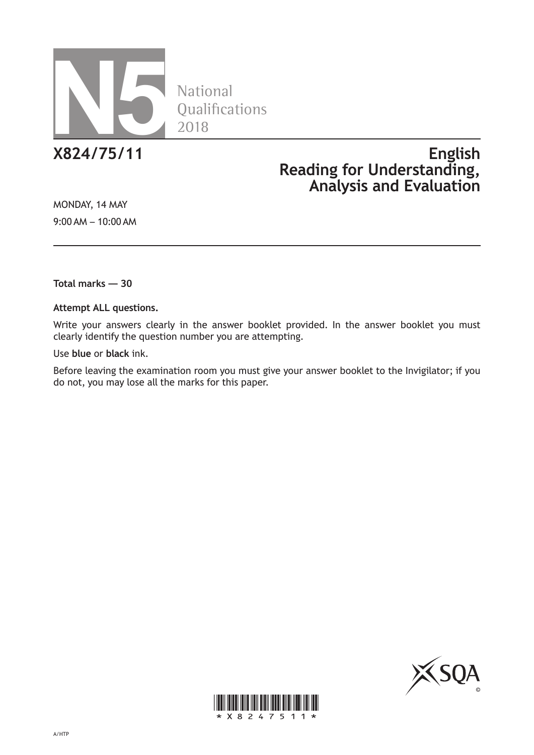

**National** Qualifications 2018

# **X824/75/11 English Reading for Understanding, Analysis and Evaluation**

MONDAY, 14 MAY 9:00 AM – 10:00 AM

**Total marks — 30**

**Attempt ALL questions.**

Write your answers clearly in the answer booklet provided. In the answer booklet you must clearly identify the question number you are attempting.

Use **blue** or **black** ink.

Before leaving the examination room you must give your answer booklet to the Invigilator; if you do not, you may lose all the marks for this paper.



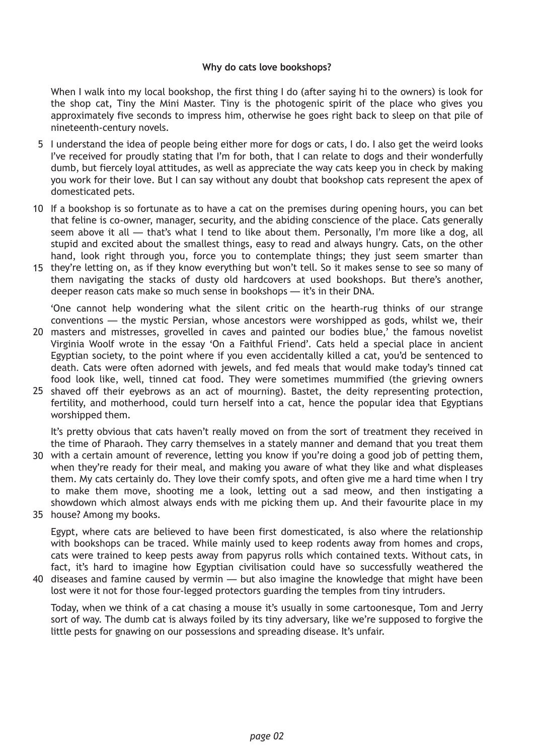#### **Why do cats love bookshops?**

When I walk into my local bookshop, the first thing I do (after saying hi to the owners) is look for the shop cat, Tiny the Mini Master. Tiny is the photogenic spirit of the place who gives you approximately five seconds to impress him, otherwise he goes right back to sleep on that pile of nineteenth-century novels.

- 5 I understand the idea of people being either more for dogs or cats, I do. I also get the weird looks I've received for proudly stating that I'm for both, that I can relate to dogs and their wonderfully dumb, but fiercely loyal attitudes, as well as appreciate the way cats keep you in check by making you work for their love. But I can say without any doubt that bookshop cats represent the apex of domesticated pets.
- 10 If a bookshop is so fortunate as to have a cat on the premises during opening hours, you can bet that feline is co-owner, manager, security, and the abiding conscience of the place. Cats generally seem above it all — that's what I tend to like about them. Personally, I'm more like a dog, all stupid and excited about the smallest things, easy to read and always hungry. Cats, on the other hand, look right through you, force you to contemplate things; they just seem smarter than
- 15 they're letting on, as if they know everything but won't tell. So it makes sense to see so many of them navigating the stacks of dusty old hardcovers at used bookshops. But there's another, deeper reason cats make so much sense in bookshops — it's in their DNA.

'One cannot help wondering what the silent critic on the hearth-rug thinks of our strange conventions — the mystic Persian, whose ancestors were worshipped as gods, whilst we, their

- 20 masters and mistresses, grovelled in caves and painted our bodies blue,' the famous novelist Virginia Woolf wrote in the essay 'On a Faithful Friend'. Cats held a special place in ancient Egyptian society, to the point where if you even accidentally killed a cat, you'd be sentenced to death. Cats were often adorned with jewels, and fed meals that would make today's tinned cat food look like, well, tinned cat food. They were sometimes mummified (the grieving owners
- 25 shaved off their eyebrows as an act of mourning). Bastet, the deity representing protection, fertility, and motherhood, could turn herself into a cat, hence the popular idea that Egyptians worshipped them.

It's pretty obvious that cats haven't really moved on from the sort of treatment they received in the time of Pharaoh. They carry themselves in a stately manner and demand that you treat them

- 30 with a certain amount of reverence, letting you know if you're doing a good job of petting them, when they're ready for their meal, and making you aware of what they like and what displeases them. My cats certainly do. They love their comfy spots, and often give me a hard time when I try to make them move, shooting me a look, letting out a sad meow, and then instigating a showdown which almost always ends with me picking them up. And their favourite place in my
- 35 house? Among my books.

Egypt, where cats are believed to have been first domesticated, is also where the relationship with bookshops can be traced. While mainly used to keep rodents away from homes and crops, cats were trained to keep pests away from papyrus rolls which contained texts. Without cats, in fact, it's hard to imagine how Egyptian civilisation could have so successfully weathered the

40 diseases and famine caused by vermin — but also imagine the knowledge that might have been lost were it not for those four-legged protectors guarding the temples from tiny intruders.

Today, when we think of a cat chasing a mouse it's usually in some cartoonesque, Tom and Jerry sort of way. The dumb cat is always foiled by its tiny adversary, like we're supposed to forgive the little pests for gnawing on our possessions and spreading disease. It's unfair.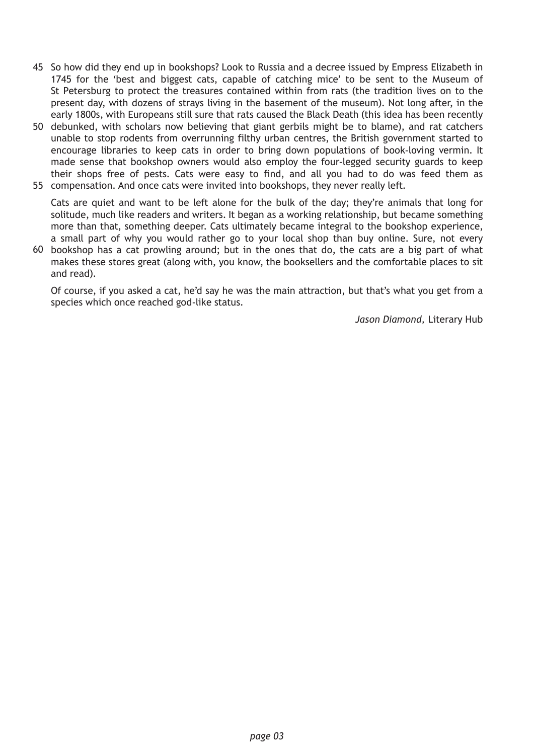- 45 So how did they end up in bookshops? Look to Russia and a decree issued by Empress Elizabeth in 1745 for the 'best and biggest cats, capable of catching mice' to be sent to the Museum of St Petersburg to protect the treasures contained within from rats (the tradition lives on to the present day, with dozens of strays living in the basement of the museum). Not long after, in the early 1800s, with Europeans still sure that rats caused the Black Death (this idea has been recently
- 50 debunked, with scholars now believing that giant gerbils might be to blame), and rat catchers unable to stop rodents from overrunning filthy urban centres, the British government started to encourage libraries to keep cats in order to bring down populations of book-loving vermin. It made sense that bookshop owners would also employ the four-legged security guards to keep their shops free of pests. Cats were easy to find, and all you had to do was feed them as
- 55 compensation. And once cats were invited into bookshops, they never really left.

Cats are quiet and want to be left alone for the bulk of the day; they're animals that long for solitude, much like readers and writers. It began as a working relationship, but became something more than that, something deeper. Cats ultimately became integral to the bookshop experience, a small part of why you would rather go to your local shop than buy online. Sure, not every

bookshop has a cat prowling around; but in the ones that do, the cats are a big part of what 60makes these stores great (along with, you know, the booksellers and the comfortable places to sit and read).

Of course, if you asked a cat, he'd say he was the main attraction, but that's what you get from a species which once reached god-like status.

*Jason Diamond,* Literary Hub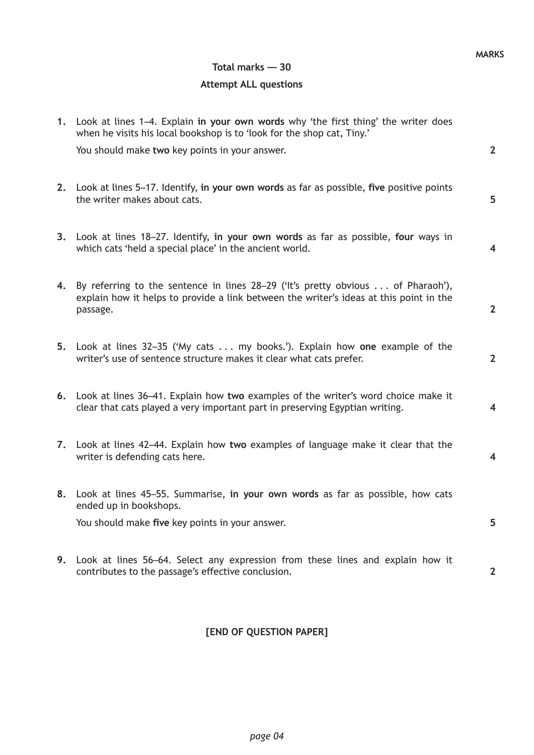## **Total marks — 30**

## **Attempt ALL questions**

|    | 1. Look at lines 1–4. Explain in your own words why 'the first thing' the writer does<br>when he visits his local bookshop is to 'look for the shop cat, Tiny.'                           |                         |
|----|-------------------------------------------------------------------------------------------------------------------------------------------------------------------------------------------|-------------------------|
|    | You should make two key points in your answer.                                                                                                                                            | $2^{\circ}$             |
|    | 2. Look at lines 5–17. Identify, in your own words as far as possible, five positive points<br>the writer makes about cats.                                                               | 5                       |
|    | 3. Look at lines 18–27. Identify, in your own words as far as possible, four ways in<br>which cats 'held a special place' in the ancient world.                                           | $\overline{4}$          |
|    | 4. By referring to the sentence in lines 28–29 ('It's pretty obvious  of Pharaoh'),<br>explain how it helps to provide a link between the writer's ideas at this point in the<br>passage. | $\overline{2}$          |
| 5. | Look at lines $32-35$ ('My cats  my books.'). Explain how one example of the<br>writer's use of sentence structure makes it clear what cats prefer.                                       | $\overline{2}$          |
|    | 6. Look at lines 36-41. Explain how two examples of the writer's word choice make it<br>clear that cats played a very important part in preserving Egyptian writing.                      | $\overline{\mathbf{4}}$ |
|    | 7. Look at lines 42–44. Explain how two examples of language make it clear that the<br>writer is defending cats here.                                                                     | $\overline{\mathbf{4}}$ |
| 8. | Look at lines 45–55. Summarise, in your own words as far as possible, how cats<br>ended up in bookshops.<br>You should make five key points in your answer.                               | 5                       |
| 9. | Look at lines 56–64. Select any expression from these lines and explain how it<br>contributes to the passage's effective conclusion.                                                      | $\mathbf{2}$            |

## **[END OF QUESTION PAPER]**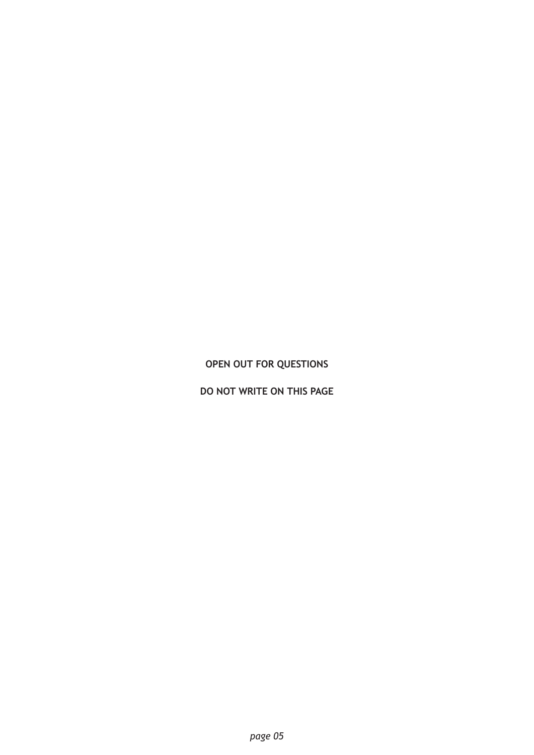## **OPEN OUT FOR QUESTIONS**

**DO NOT WRITE ON THIS PAGE**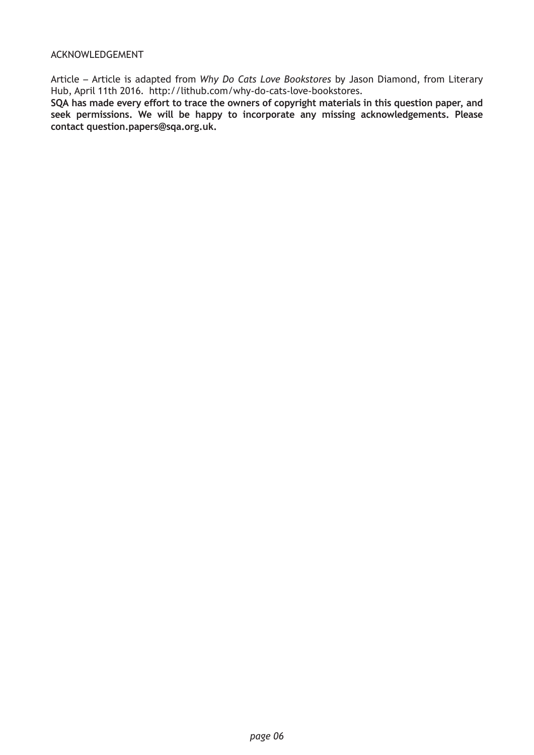## ACKNOWLEDGEMENT

Article – Article is adapted from *Why Do Cats Love Bookstores* by Jason Diamond, from Literary Hub, April 11th 2016. http://lithub.com/why-do-cats-love-bookstores.

**SQA has made every effort to trace the owners of copyright materials in this question paper, and seek permissions. We will be happy to incorporate any missing acknowledgements. Please contact question.papers@sqa.org.uk.**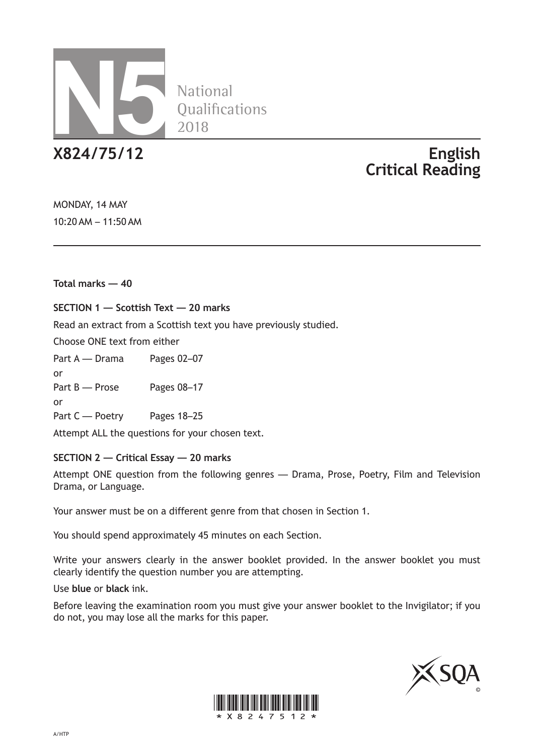

National Oualifications 2018

# **X824/75/12 English Critical Reading**

MONDAY, 14 MAY 10:20 AM – 11:50 AM

**Total marks — 40**

**SECTION 1 — Scottish Text — 20 marks**

Read an extract from a Scottish text you have previously studied.

Choose ONE text from either

Part A — Drama Pages 02-07

or

Part B - Prose Pages 08-17

or

Part C — Poetry Pages 18-25

Attempt ALL the questions for your chosen text.

## **SECTION 2 — Critical Essay — 20 marks**

Attempt ONE question from the following genres — Drama, Prose, Poetry, Film and Television Drama, or Language.

Your answer must be on a different genre from that chosen in Section 1.

You should spend approximately 45 minutes on each Section.

Write your answers clearly in the answer booklet provided. In the answer booklet you must clearly identify the question number you are attempting.

Use **blue** or **black** ink.

Before leaving the examination room you must give your answer booklet to the Invigilator; if you do not, you may lose all the marks for this paper.



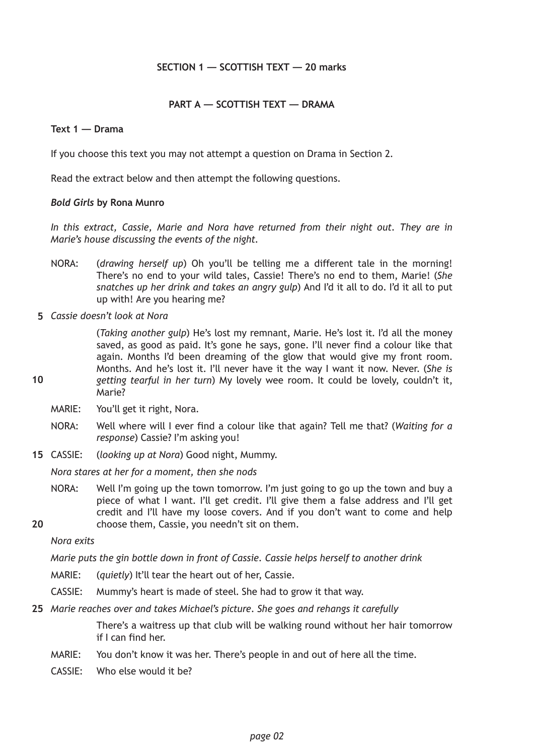## **SECTION 1 — SCOTTISH TEXT — 20 marks**

#### **PART A — SCOTTISH TEXT — DRAMA**

#### **Text 1 — Drama**

If you choose this text you may not attempt a question on Drama in Section 2.

Read the extract below and then attempt the following questions.

#### *Bold Girls* **by Rona Munro**

*In this extract, Cassie, Marie and Nora have returned from their night out. They are in Marie's house discussing the events of the night.*

- NORA: (*drawing herself up*) Oh you'll be telling me a different tale in the morning! There's no end to your wild tales, Cassie! There's no end to them, Marie! (*She snatches up her drink and takes an angry gulp*) And I'd it all to do. I'd it all to put up with! Are you hearing me?
- *Cassie doesn't look at Nora* **5**

(*Taking another gulp*) He's lost my remnant, Marie. He's lost it. I'd all the money saved, as good as paid. It's gone he says, gone. I'll never find a colour like that again. Months I'd been dreaming of the glow that would give my front room. Months. And he's lost it. I'll never have it the way I want it now. Never. (*She is getting tearful in her turn*) My lovely wee room. It could be lovely, couldn't it, Marie?

- MARIE: You'll get it right, Nora.
- NORA: Well where will I ever find a colour like that again? Tell me that? (*Waiting for a response*) Cassie? I'm asking you!
- (*looking up at Nora*) Good night, Mummy. **15**

*Nora stares at her for a moment, then she nods*

NORA: Well I'm going up the town tomorrow. I'm just going to go up the town and buy a piece of what I want. I'll get credit. I'll give them a false address and I'll get credit and I'll have my loose covers. And if you don't want to come and help choose them, Cassie, you needn't sit on them.

*Nora exits*

**10**

**20**

*Marie puts the gin bottle down in front of Cassie. Cassie helps herself to another drink*

- MARIE: (*quietly*) It'll tear the heart out of her, Cassie.
- CASSIE: Mummy's heart is made of steel. She had to grow it that way.
- *Marie reaches over and takes Michael's picture. She goes and rehangs it carefully* **25**

There's a waitress up that club will be walking round without her hair tomorrow if I can find her.

- MARIE: You don't know it was her. There's people in and out of here all the time.
- CASSIE: Who else would it be?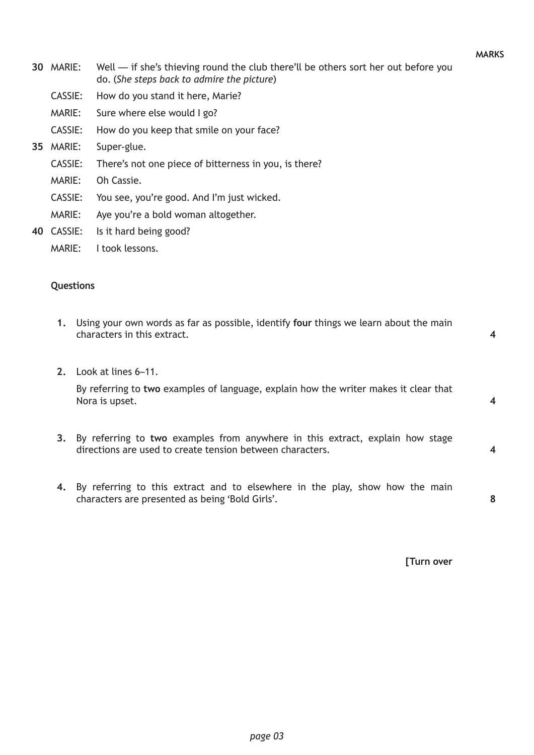#### **MARKS**

**4**

**4**

**4**

**8**

- Well if she's thieving round the club there'll be others sort her out before you do. (*She steps back to admire the picture*) **30**
	- CASSIE: How do you stand it here, Marie?
	- MARIE: Sure where else would I go?
	- CASSIE: How do you keep that smile on your face?
- Super-glue. **35**
	- CASSIE: There's not one piece of bitterness in you, is there?
	- MARIE: Oh Cassie.
	- CASSIE: You see, you're good. And I'm just wicked.
	- MARIE: Aye you're a bold woman altogether.
- Is it hard being good? **40**
	- MARIE: I took lessons.

#### **Questions**

- **1.** Using your own words as far as possible, identify **four** things we learn about the main characters in this extract.
- **2.** Look at lines 6–11.

By referring to **two** examples of language, explain how the writer makes it clear that Nora is upset.

- **3.** By referring to **two** examples from anywhere in this extract, explain how stage directions are used to create tension between characters.
- **4.** By referring to this extract and to elsewhere in the play, show how the main characters are presented as being 'Bold Girls'.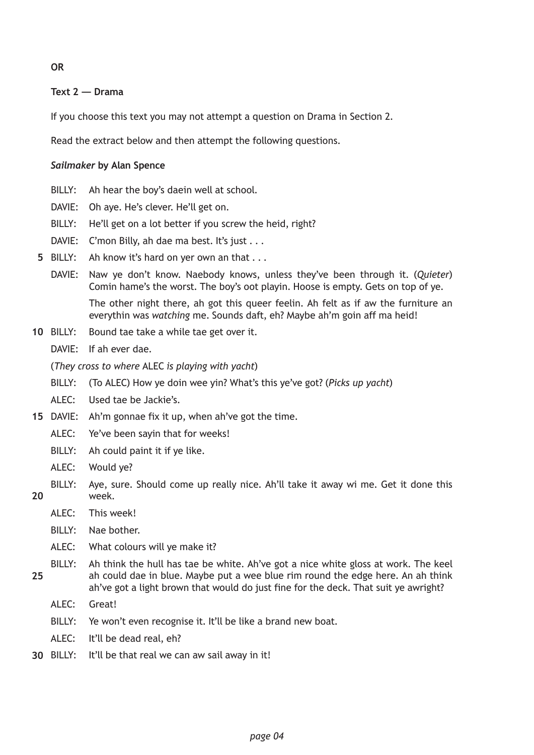#### **OR**

#### **Text 2 — Drama**

If you choose this text you may not attempt a question on Drama in Section 2.

Read the extract below and then attempt the following questions.

## *Sailmaker* **by Alan Spence**

- BILLY: Ah hear the boy's daein well at school.
- DAVIE: Oh aye. He's clever. He'll get on.
- BILLY: He'll get on a lot better if you screw the heid, right?
- DAVIE: C'mon Billy, ah dae ma best. It's just . . .
- BILLY: Ah know it's hard on yer own an that . . . **5**
	- DAVIE: Naw ye don't know. Naebody knows, unless they've been through it. (*Quieter*) Comin hame's the worst. The boy's oot playin. Hoose is empty. Gets on top of ye.

The other night there, ah got this queer feelin. Ah felt as if aw the furniture an everythin was *watching* me. Sounds daft, eh? Maybe ah'm goin aff ma heid!

Bound tae take a while tae get over it. **10**

DAVIE: If ah ever dae.

(*They cross to where* ALEC *is playing with yacht*)

- BILLY: (To ALEC) How ye doin wee yin? What's this ye've got? (*Picks up yacht*)
- ALEC: Used tae be Jackie's.
- DAVIE: Ah'm gonnae fix it up, when ah've got the time. **15**
	- ALEC: Ye've been sayin that for weeks!
	- BILLY: Ah could paint it if ye like.
	- ALEC: Would ye?
- BILLY: Aye, sure. Should come up really nice. Ah'll take it away wi me. Get it done this week. **20**
	- ALEC: This week!
	- BILLY: Nae bother.
	- ALEC: What colours will ye make it?
- BILLY: Ah think the hull has tae be white. Ah've got a nice white gloss at work. The keel ah could dae in blue. Maybe put a wee blue rim round the edge here. An ah think ah've got a light brown that would do just fine for the deck. That suit ye awright? **25**
	- ALEC: Great!
	- BILLY: Ye won't even recognise it. It'll be like a brand new boat.
	- ALEC: It'll be dead real, eh?
- It'll be that real we can aw sail away in it! **30**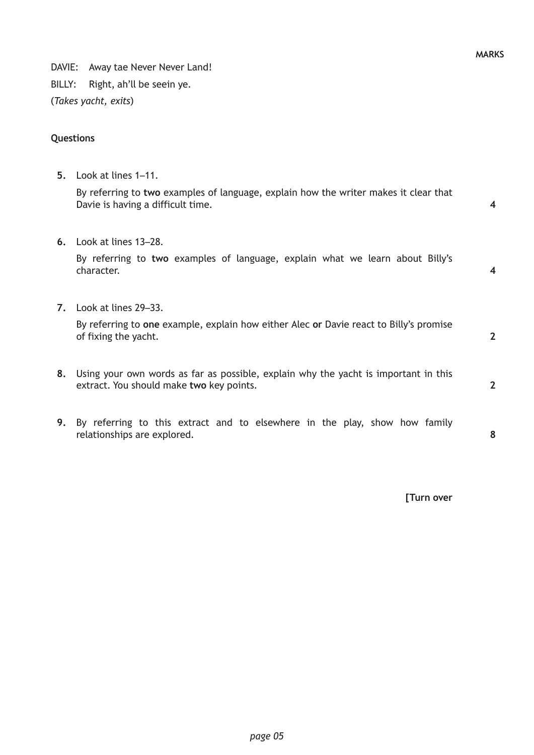DAVIE: Away tae Never Never Land! BILLY: Right, ah'll be seein ye. (*Takes yacht, exits*)

#### **Questions**

**5.** Look at lines 1–11. By referring to **two** examples of language, explain how the writer makes it clear that Davie is having a difficult time. **6.** Look at lines 13–28. By referring to **two** examples of language, explain what we learn about Billy's character. **7.** Look at lines 29–33. By referring to **one** example, explain how either Alec **or** Davie react to Billy's promise of fixing the yacht. **8.** Using your own words as far as possible, explain why the yacht is important in this extract. You should make **two** key points. **9.** By referring to this extract and to elsewhere in the play, show how family relationships are explored. **4 4 2 2 8**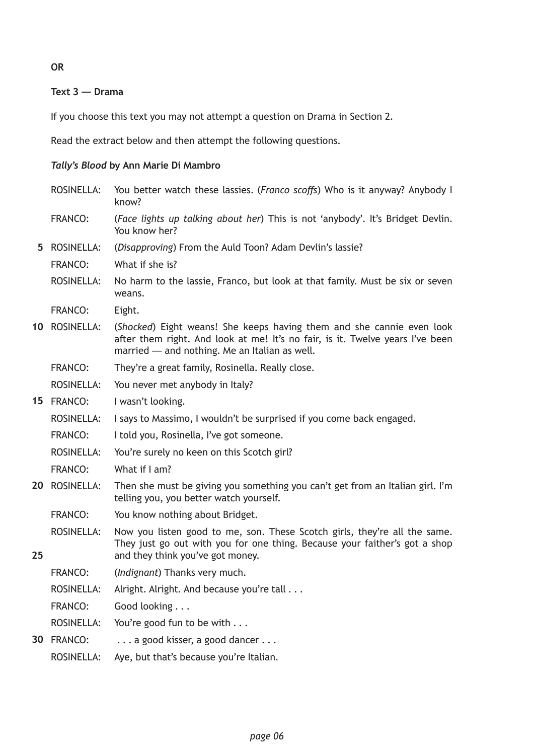## **OR**

## **Text 3 — Drama**

If you choose this text you may not attempt a question on Drama in Section 2.

Read the extract below and then attempt the following questions.

## *Tally's Blood* **by Ann Marie Di Mambro**

|    | <b>ROSINELLA:</b> | You better watch these lassies. (Franco scoffs) Who is it anyway? Anybody I<br>know?                                                                                                                    |
|----|-------------------|---------------------------------------------------------------------------------------------------------------------------------------------------------------------------------------------------------|
|    | <b>FRANCO:</b>    | (Face lights up talking about her) This is not 'anybody'. It's Bridget Devlin.<br>You know her?                                                                                                         |
| 5. | <b>ROSINELLA:</b> | (Disapproving) From the Auld Toon? Adam Devlin's lassie?                                                                                                                                                |
|    | <b>FRANCO:</b>    | What if she is?                                                                                                                                                                                         |
|    | <b>ROSINELLA:</b> | No harm to the lassie, Franco, but look at that family. Must be six or seven<br>weans.                                                                                                                  |
|    | FRANCO:           | Eight.                                                                                                                                                                                                  |
|    | 10 ROSINELLA:     | (Shocked) Eight weans! She keeps having them and she cannie even look<br>after them right. And look at me! It's no fair, is it. Twelve years I've been<br>married - and nothing. Me an Italian as well. |
|    | <b>FRANCO:</b>    | They're a great family, Rosinella. Really close.                                                                                                                                                        |
|    | <b>ROSINELLA:</b> | You never met anybody in Italy?                                                                                                                                                                         |
|    | 15 FRANCO:        | I wasn't looking.                                                                                                                                                                                       |
|    | <b>ROSINELLA:</b> | I says to Massimo, I wouldn't be surprised if you come back engaged.                                                                                                                                    |
|    | <b>FRANCO:</b>    | I told you, Rosinella, I've got someone.                                                                                                                                                                |
|    | <b>ROSINELLA:</b> | You're surely no keen on this Scotch girl?                                                                                                                                                              |
|    | <b>FRANCO:</b>    | What if I am?                                                                                                                                                                                           |
|    | 20 ROSINELLA:     | Then she must be giving you something you can't get from an Italian girl. I'm<br>telling you, you better watch yourself.                                                                                |
|    | <b>FRANCO:</b>    | You know nothing about Bridget.                                                                                                                                                                         |
| 25 | <b>ROSINELLA:</b> | Now you listen good to me, son. These Scotch girls, they're all the same.<br>They just go out with you for one thing. Because your faither's got a shop<br>and they think you've got money.             |
|    | <b>FRANCO:</b>    | (Indignant) Thanks very much.                                                                                                                                                                           |
|    |                   | ROSINELLA: Alright. Alright. And because you're tall                                                                                                                                                    |
|    | FRANCO:           | Good looking                                                                                                                                                                                            |
|    | <b>ROSINELLA:</b> | You're good fun to be with                                                                                                                                                                              |
| 30 | FRANCO:           | a good kisser, a good dancer                                                                                                                                                                            |
|    | <b>ROSINELLA:</b> | Aye, but that's because you're Italian.                                                                                                                                                                 |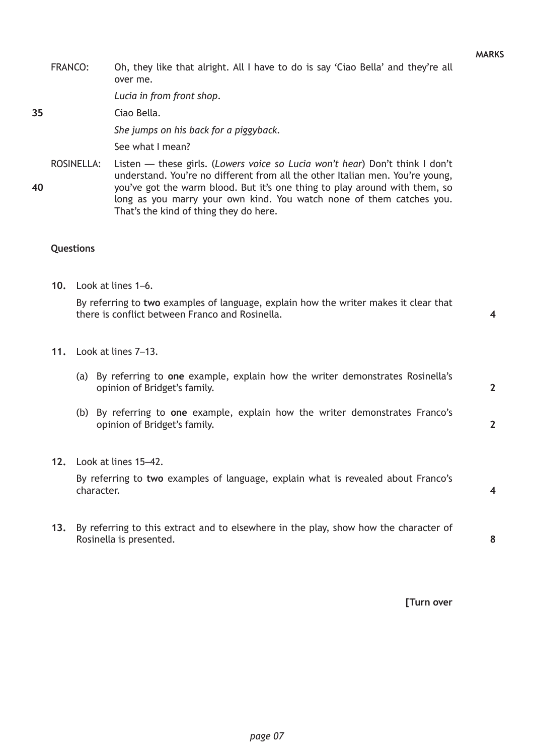FRANCO: Oh, they like that alright. All I have to do is say 'Ciao Bella' and they're all over me. *Lucia in from front shop.*

Ciao Bella. **35**

*She jumps on his back for a piggyback*.

See what I mean?

ROSINELLA: Listen — these girls. (*Lowers voice so Lucia won't hear*) Don't think I don't understand. You're no different from all the other Italian men. You're young, you've got the warm blood. But it's one thing to play around with them, so long as you marry your own kind. You watch none of them catches you. That's the kind of thing they do here.

#### **Questions**

**10.** Look at lines 1–6.

By referring to **two** examples of language, explain how the writer makes it clear that there is conflict between Franco and Rosinella.

- **11.** Look at lines 7–13.
	- (a) By referring to **one** example, explain how the writer demonstrates Rosinella's opinion of Bridget's family.
	- (b) By referring to **one** example, explain how the writer demonstrates Franco's opinion of Bridget's family.

**12.** Look at lines 15–42.

By referring to **two** examples of language, explain what is revealed about Franco's character.

**13.** By referring to this extract and to elsewhere in the play, show how the character of Rosinella is presented.

**8**

**4**

**[Turn over**

**40**

**4**

**2**

**2**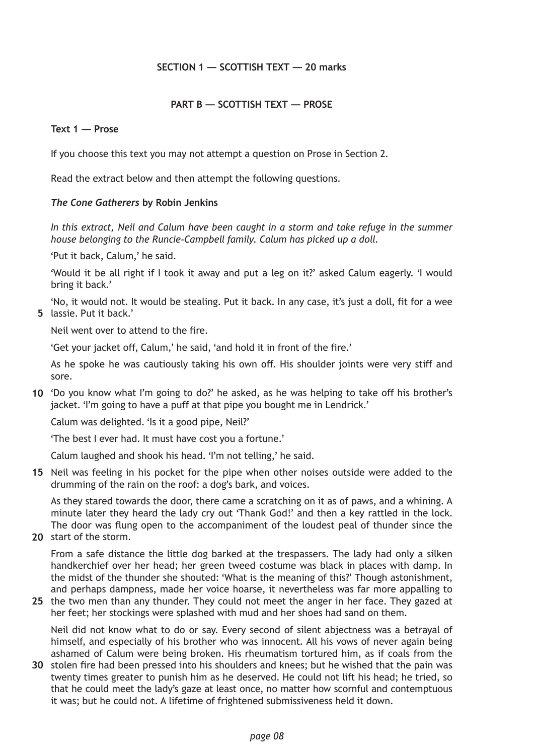## **SECTION 1 — SCOTTISH TEXT — 20 marks**

## **PART B — SCOTTISH TEXT — PROSE**

#### **Text 1 — Prose**

If you choose this text you may not attempt a question on Prose in Section 2.

Read the extract below and then attempt the following questions.

#### *The Cone Gatherers* **by Robin Jenkins**

*In this extract, Neil and Calum have been caught in a storm and take refuge in the summer house belonging to the Runcie-Campbell family. Calum has picked up a doll.*

'Put it back, Calum,' he said.

'Would it be all right if I took it away and put a leg on it?' asked Calum eagerly. 'I would bring it back.'

'No, it would not. It would be stealing. Put it back. In any case, it's just a doll, fit for a wee lassie. Put it back.' **5**

Neil went over to attend to the fire.

'Get your jacket off, Calum,' he said, 'and hold it in front of the fire.'

As he spoke he was cautiously taking his own off. His shoulder joints were very stiff and sore.

'Do you know what I'm going to do?' he asked, as he was helping to take off his brother's **10** jacket. 'I'm going to have a puff at that pipe you bought me in Lendrick.'

Calum was delighted. 'Is it a good pipe, Neil?'

'The best I ever had. It must have cost you a fortune.'

Calum laughed and shook his head. 'I'm not telling,' he said.

15 Neil was feeling in his pocket for the pipe when other noises outside were added to the drumming of the rain on the roof: a dog's bark, and voices.

As they stared towards the door, there came a scratching on it as of paws, and a whining. A minute later they heard the lady cry out 'Thank God!' and then a key rattled in the lock. The door was flung open to the accompaniment of the loudest peal of thunder since the

**20** start of the storm.

From a safe distance the little dog barked at the trespassers. The lady had only a silken handkerchief over her head; her green tweed costume was black in places with damp. In the midst of the thunder she shouted: 'What is the meaning of this?' Though astonishment, and perhaps dampness, made her voice hoarse, it nevertheless was far more appalling to

25 the two men than any thunder. They could not meet the anger in her face. They gazed at her feet; her stockings were splashed with mud and her shoes had sand on them.

Neil did not know what to do or say. Every second of silent abjectness was a betrayal of himself, and especially of his brother who was innocent. All his vows of never again being ashamed of Calum were being broken. His rheumatism tortured him, as if coals from the

stolen fire had been pressed into his shoulders and knees; but he wished that the pain was **30**twenty times greater to punish him as he deserved. He could not lift his head; he tried, so that he could meet the lady's gaze at least once, no matter how scornful and contemptuous it was; but he could not. A lifetime of frightened submissiveness held it down.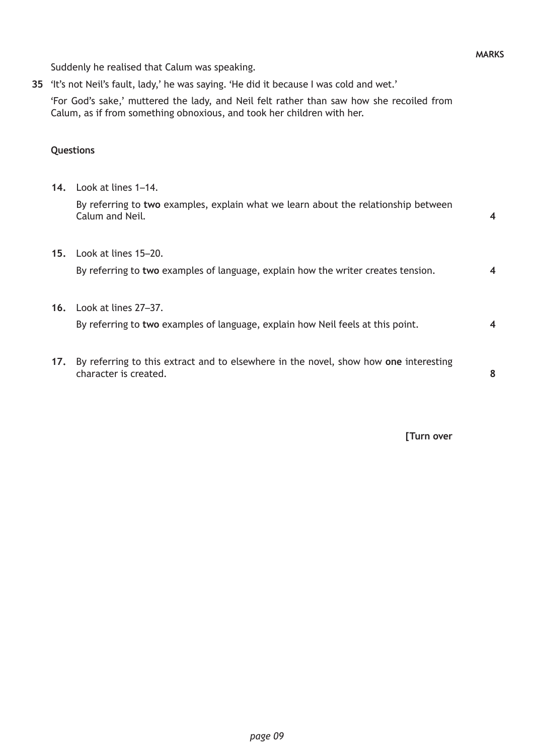Suddenly he realised that Calum was speaking.

'It's not Neil's fault, lady,' he was saying. 'He did it because I was cold and wet.' **35**

'For God's sake,' muttered the lady, and Neil felt rather than saw how she recoiled from Calum, as if from something obnoxious, and took her children with her.

#### **Questions**

|     | <b>14.</b> Look at lines 1-14.                                                                                     |   |
|-----|--------------------------------------------------------------------------------------------------------------------|---|
|     | By referring to two examples, explain what we learn about the relationship between<br>Calum and Neil.              | 4 |
| 15. | Look at lines 15–20.<br>By referring to two examples of language, explain how the writer creates tension.          | 4 |
|     | <b>16.</b> Look at lines 27–37.<br>By referring to two examples of language, explain how Neil feels at this point. | 4 |
| 17. | By referring to this extract and to elsewhere in the novel, show how one interesting<br>character is created.      | 8 |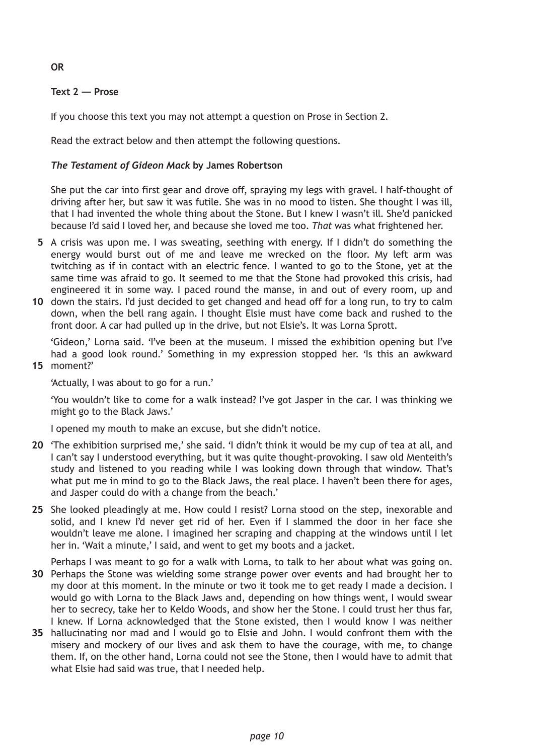## **Text 2 — Prose**

If you choose this text you may not attempt a question on Prose in Section 2.

Read the extract below and then attempt the following questions.

## *The Testament of Gideon Mack* **by James Robertson**

She put the car into first gear and drove off, spraying my legs with gravel. I half-thought of driving after her, but saw it was futile. She was in no mood to listen. She thought I was ill, that I had invented the whole thing about the Stone. But I knew I wasn't ill. She'd panicked because I'd said I loved her, and because she loved me too. *That* was what frightened her.

- A crisis was upon me. I was sweating, seething with energy. If I didn't do something the **5** energy would burst out of me and leave me wrecked on the floor. My left arm was twitching as if in contact with an electric fence. I wanted to go to the Stone, yet at the same time was afraid to go. It seemed to me that the Stone had provoked this crisis, had engineered it in some way. I paced round the manse, in and out of every room, up and
- 10 down the stairs. I'd just decided to get changed and head off for a long run, to try to calm down, when the bell rang again. I thought Elsie must have come back and rushed to the front door. A car had pulled up in the drive, but not Elsie's. It was Lorna Sprott.

'Gideon,' Lorna said. 'I've been at the museum. I missed the exhibition opening but I've had a good look round.' Something in my expression stopped her. 'Is this an awkward 15 moment?'

'Actually, I was about to go for a run.'

'You wouldn't like to come for a walk instead? I've got Jasper in the car. I was thinking we might go to the Black Jaws.'

I opened my mouth to make an excuse, but she didn't notice.

- 'The exhibition surprised me,' she said. 'I didn't think it would be my cup of tea at all, and **20** I can't say I understood everything, but it was quite thought-provoking. I saw old Menteith's study and listened to you reading while I was looking down through that window. That's what put me in mind to go to the Black Jaws, the real place. I haven't been there for ages, and Jasper could do with a change from the beach.'
- 25 She looked pleadingly at me. How could I resist? Lorna stood on the step, inexorable and solid, and I knew I'd never get rid of her. Even if I slammed the door in her face she wouldn't leave me alone. I imagined her scraping and chapping at the windows until I let her in. 'Wait a minute,' I said, and went to get my boots and a jacket.
- Perhaps I was meant to go for a walk with Lorna, to talk to her about what was going on. Perhaps the Stone was wielding some strange power over events and had brought her to **30** my door at this moment. In the minute or two it took me to get ready I made a decision. I would go with Lorna to the Black Jaws and, depending on how things went, I would swear her to secrecy, take her to Keldo Woods, and show her the Stone. I could trust her thus far, I knew. If Lorna acknowledged that the Stone existed, then I would know I was neither
- 35 hallucinating nor mad and I would go to Elsie and John. I would confront them with the misery and mockery of our lives and ask them to have the courage, with me, to change them. If, on the other hand, Lorna could not see the Stone, then I would have to admit that what Elsie had said was true, that I needed help.

**OR**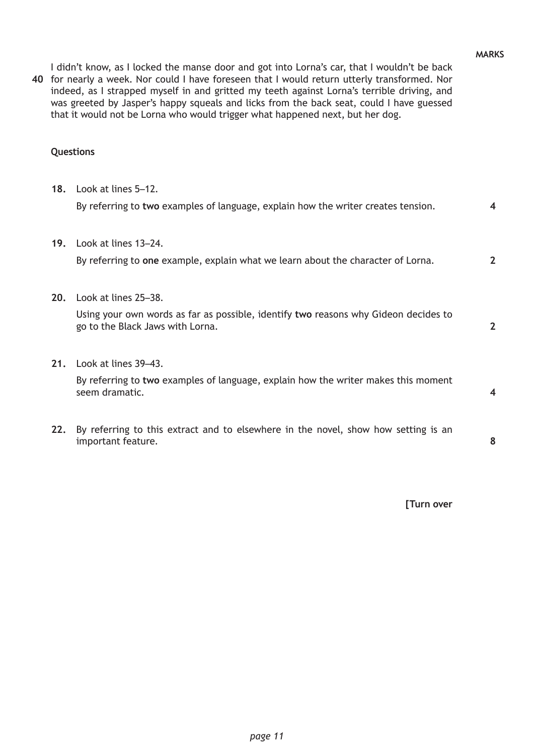#### **MARKS**

I didn't know, as I locked the manse door and got into Lorna's car, that I wouldn't be back 40 for nearly a week. Nor could I have foreseen that I would return utterly transformed. Nor indeed, as I strapped myself in and gritted my teeth against Lorna's terrible driving, and was greeted by Jasper's happy squeals and licks from the back seat, could I have guessed that it would not be Lorna who would trigger what happened next, but her dog.

#### **Questions**

| 18. | Look at lines 5-12.                                                                                                     |                |
|-----|-------------------------------------------------------------------------------------------------------------------------|----------------|
|     | By referring to two examples of language, explain how the writer creates tension.                                       | 4              |
| 19. | Look at lines 13-24.                                                                                                    |                |
|     | By referring to one example, explain what we learn about the character of Lorna.                                        | $\overline{2}$ |
| 20. | Look at lines 25-38.                                                                                                    |                |
|     | Using your own words as far as possible, identify two reasons why Gideon decides to<br>go to the Black Jaws with Lorna. | $\mathbf{2}$   |
| 21. | Look at lines 39–43.                                                                                                    |                |
|     | By referring to two examples of language, explain how the writer makes this moment<br>seem dramatic.                    | 4              |
| 22. | By referring to this extract and to elsewhere in the novel, show how setting is an<br>important feature.                | 8              |
|     |                                                                                                                         |                |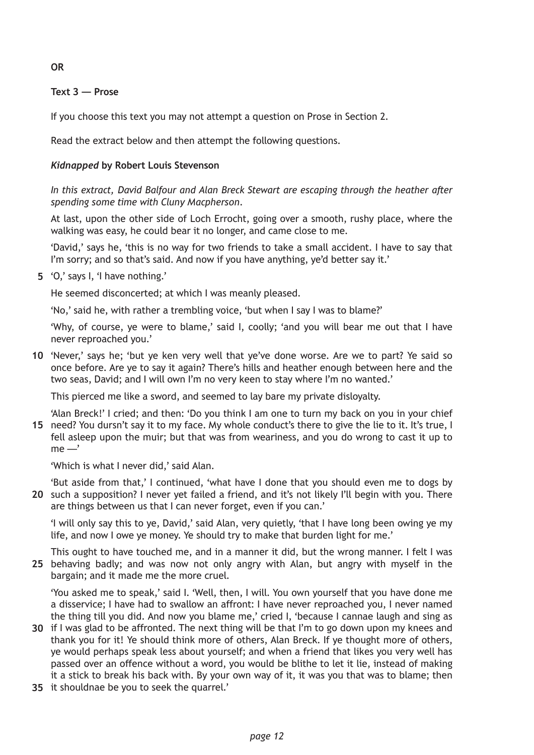## **Text 3 — Prose**

If you choose this text you may not attempt a question on Prose in Section 2.

Read the extract below and then attempt the following questions.

#### *Kidnapped* **by Robert Louis Stevenson**

*In this extract, David Balfour and Alan Breck Stewart are escaping through the heather after spending some time with Cluny Macpherson.*

At last, upon the other side of Loch Errocht, going over a smooth, rushy place, where the walking was easy, he could bear it no longer, and came close to me.

'David,' says he, 'this is no way for two friends to take a small accident. I have to say that I'm sorry; and so that's said. And now if you have anything, ye'd better say it.'

'O,' says I, 'I have nothing.' **5**

He seemed disconcerted; at which I was meanly pleased.

'No,' said he, with rather a trembling voice, 'but when I say I was to blame?'

'Why, of course, ye were to blame,' said I, coolly; 'and you will bear me out that I have never reproached you.'

10 'Never,' says he; 'but ye ken very well that ye've done worse. Are we to part? Ye said so once before. Are ye to say it again? There's hills and heather enough between here and the two seas, David; and I will own I'm no very keen to stay where I'm no wanted.'

This pierced me like a sword, and seemed to lay bare my private disloyalty.

'Alan Breck!' I cried; and then: 'Do you think I am one to turn my back on you in your chief 15 need? You dursn't say it to my face. My whole conduct's there to give the lie to it. It's true, I fell asleep upon the muir; but that was from weariness, and you do wrong to cast it up to  $me -'$ 

'Which is what I never did,' said Alan.

'But aside from that,' I continued, 'what have I done that you should even me to dogs by 20 such a supposition? I never yet failed a friend, and it's not likely I'll begin with you. There are things between us that I can never forget, even if you can.'

'I will only say this to ye, David,' said Alan, very quietly, 'that I have long been owing ye my life, and now I owe ye money. Ye should try to make that burden light for me.'

This ought to have touched me, and in a manner it did, but the wrong manner. I felt I was 25 behaving badly; and was now not only angry with Alan, but angry with myself in the bargain; and it made me the more cruel.

'You asked me to speak,' said I. 'Well, then, I will. You own yourself that you have done me a disservice; I have had to swallow an affront: I have never reproached you, I never named the thing till you did. And now you blame me,' cried I, 'because I cannae laugh and sing as

- **30** if I was glad to be affronted. The next thing will be that I'm to go down upon my knees and thank you for it! Ye should think more of others, Alan Breck. If ye thought more of others, ye would perhaps speak less about yourself; and when a friend that likes you very well has passed over an offence without a word, you would be blithe to let it lie, instead of making it a stick to break his back with. By your own way of it, it was you that was to blame; then
- **35** it shouldnae be you to seek the quarrel.'

**OR**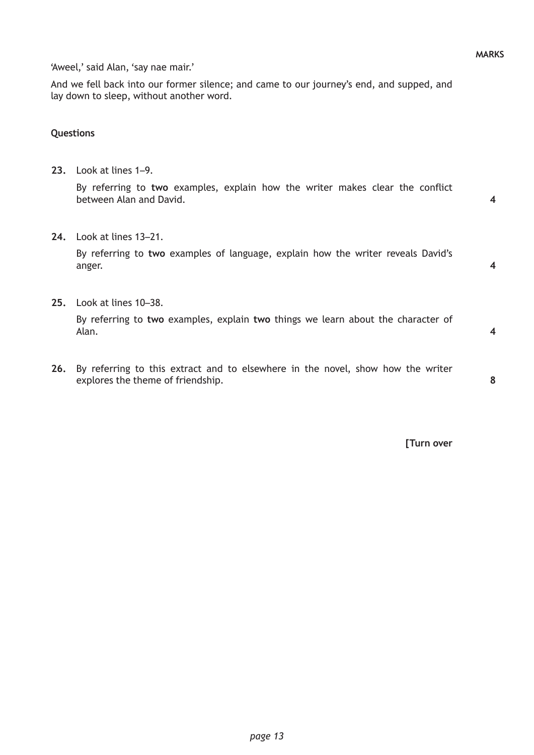'Aweel,' said Alan, 'say nae mair.'

And we fell back into our former silence; and came to our journey's end, and supped, and lay down to sleep, without another word.

## **Questions**

**23.** Look at lines 1–9.

By referring to **two** examples, explain how the writer makes clear the conflict between Alan and David.

**24.** Look at lines 13–21.

By referring to **two** examples of language, explain how the writer reveals David's anger.

**25.** Look at lines 10–38.

By referring to **two** examples, explain **two** things we learn about the character of Alan.

**26.** By referring to this extract and to elsewhere in the novel, show how the writer explores the theme of friendship.

**[Turn over**

**4**

**4**

**4**

**8**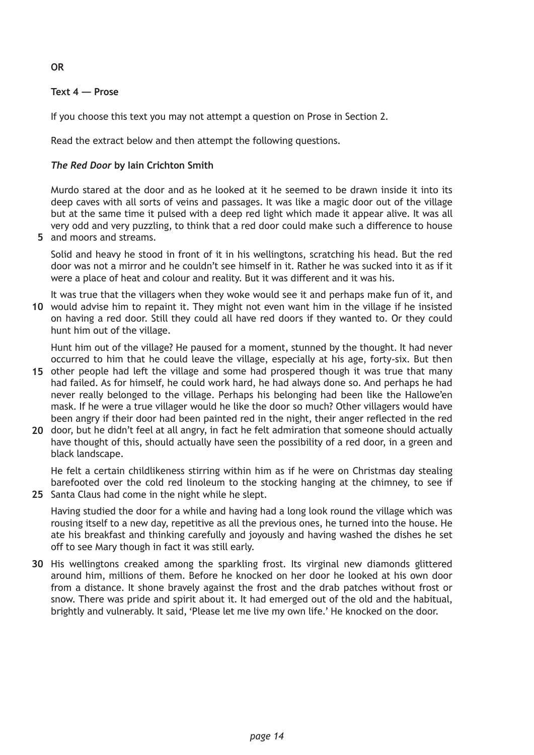## **Text 4 — Prose**

If you choose this text you may not attempt a question on Prose in Section 2.

Read the extract below and then attempt the following questions.

## *The Red Door* **by Iain Crichton Smith**

Murdo stared at the door and as he looked at it he seemed to be drawn inside it into its deep caves with all sorts of veins and passages. It was like a magic door out of the village but at the same time it pulsed with a deep red light which made it appear alive. It was all very odd and very puzzling, to think that a red door could make such a difference to house

and moors and streams. **5**

Solid and heavy he stood in front of it in his wellingtons, scratching his head. But the red door was not a mirror and he couldn't see himself in it. Rather he was sucked into it as if it were a place of heat and colour and reality. But it was different and it was his.

It was true that the villagers when they woke would see it and perhaps make fun of it, and 10 would advise him to repaint it. They might not even want him in the village if he insisted on having a red door. Still they could all have red doors if they wanted to. Or they could hunt him out of the village.

Hunt him out of the village? He paused for a moment, stunned by the thought. It had never occurred to him that he could leave the village, especially at his age, forty-six. But then

- 15 other people had left the village and some had prospered though it was true that many had failed. As for himself, he could work hard, he had always done so. And perhaps he had never really belonged to the village. Perhaps his belonging had been like the Hallowe'en mask. If he were a true villager would he like the door so much? Other villagers would have been angry if their door had been painted red in the night, their anger reflected in the red
- 20 door, but he didn't feel at all angry, in fact he felt admiration that someone should actually have thought of this, should actually have seen the possibility of a red door, in a green and black landscape.

He felt a certain childlikeness stirring within him as if he were on Christmas day stealing barefooted over the cold red linoleum to the stocking hanging at the chimney, to see if 25 Santa Claus had come in the night while he slept.

Having studied the door for a while and having had a long look round the village which was rousing itself to a new day, repetitive as all the previous ones, he turned into the house. He ate his breakfast and thinking carefully and joyously and having washed the dishes he set off to see Mary though in fact it was still early.

30 His wellingtons creaked among the sparkling frost. Its virginal new diamonds glittered around him, millions of them. Before he knocked on her door he looked at his own door from a distance. It shone bravely against the frost and the drab patches without frost or snow. There was pride and spirit about it. It had emerged out of the old and the habitual, brightly and vulnerably. It said, 'Please let me live my own life.' He knocked on the door.

**OR**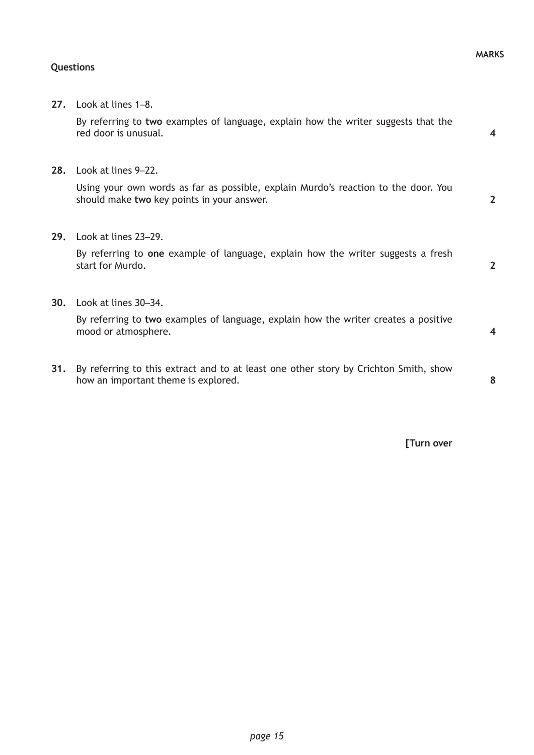#### **MARKS**

## **Questions**

|     | 27. Look at lines 1–8.                                                                                                           |                         |
|-----|----------------------------------------------------------------------------------------------------------------------------------|-------------------------|
|     | By referring to two examples of language, explain how the writer suggests that the<br>red door is unusual.                       | $\boldsymbol{4}$        |
| 28. | Look at lines 9–22.                                                                                                              |                         |
|     | Using your own words as far as possible, explain Murdo's reaction to the door. You<br>should make two key points in your answer. | $\mathbf{2}$            |
| 29. | Look at lines 23-29.                                                                                                             |                         |
|     | By referring to one example of language, explain how the writer suggests a fresh<br>start for Murdo.                             | $\mathbf{2}$            |
| 30. | Look at lines 30–34.                                                                                                             |                         |
|     | By referring to two examples of language, explain how the writer creates a positive<br>mood or atmosphere.                       | $\overline{\mathbf{4}}$ |
| 31. | By referring to this extract and to at least one other story by Crichton Smith, show<br>how an important theme is explored.      | 8                       |
|     |                                                                                                                                  |                         |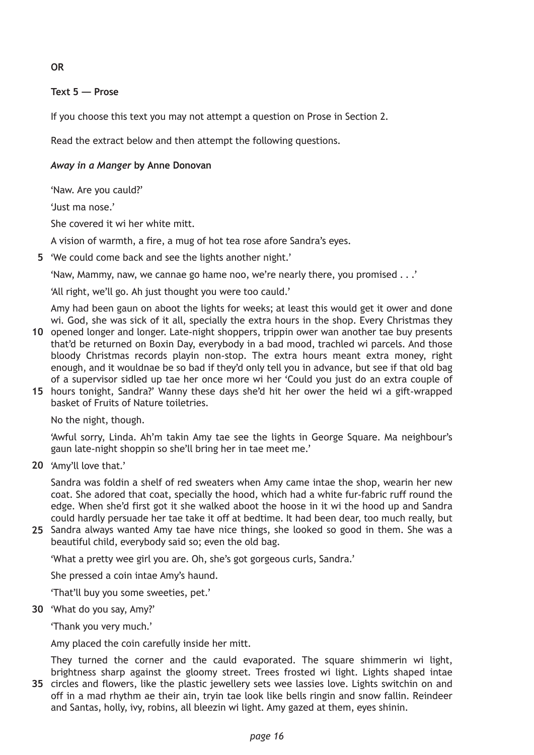**OR**

## **Text 5 — Prose**

If you choose this text you may not attempt a question on Prose in Section 2.

Read the extract below and then attempt the following questions.

## *Away in a Manger* **by Anne Donovan**

'Naw. Are you cauld?'

'Just ma nose.'

She covered it wi her white mitt.

A vision of warmth, a fire, a mug of hot tea rose afore Sandra's eyes.

'We could come back and see the lights another night.' **5**

'Naw, Mammy, naw, we cannae go hame noo, we're nearly there, you promised . . .'

'All right, we'll go. Ah just thought you were too cauld.'

Amy had been gaun on aboot the lights for weeks; at least this would get it ower and done wi. God, she was sick of it all, specially the extra hours in the shop. Every Christmas they

- 10 opened longer and longer. Late-night shoppers, trippin ower wan another tae buy presents that'd be returned on Boxin Day, everybody in a bad mood, trachled wi parcels. And those bloody Christmas records playin non-stop. The extra hours meant extra money, right enough, and it wouldnae be so bad if they'd only tell you in advance, but see if that old bag of a supervisor sidled up tae her once more wi her 'Could you just do an extra couple of
- 15 hours tonight, Sandra?' Wanny these days she'd hit her ower the heid wi a gift-wrapped basket of Fruits of Nature toiletries.

No the night, though.

'Awful sorry, Linda. Ah'm takin Amy tae see the lights in George Square. Ma neighbour's gaun late-night shoppin so she'll bring her in tae meet me.'

'Amy'll love that.' **20**

Sandra was foldin a shelf of red sweaters when Amy came intae the shop, wearin her new coat. She adored that coat, specially the hood, which had a white fur-fabric ruff round the edge. When she'd first got it she walked aboot the hoose in it wi the hood up and Sandra could hardly persuade her tae take it off at bedtime. It had been dear, too much really, but

25 Sandra always wanted Amy tae have nice things, she looked so good in them. She was a beautiful child, everybody said so; even the old bag.

'What a pretty wee girl you are. Oh, she's got gorgeous curls, Sandra.'

She pressed a coin intae Amy's haund.

'That'll buy you some sweeties, pet.'

'What do you say, Amy?' **30**

'Thank you very much.'

Amy placed the coin carefully inside her mitt.

They turned the corner and the cauld evaporated. The square shimmerin wi light, brightness sharp against the gloomy street. Trees frosted wi light. Lights shaped intae circles and flowers, like the plastic jewellery sets wee lassies love. Lights switchin on and **35**off in a mad rhythm ae their ain, tryin tae look like bells ringin and snow fallin. Reindeer and Santas, holly, ivy, robins, all bleezin wi light. Amy gazed at them, eyes shinin.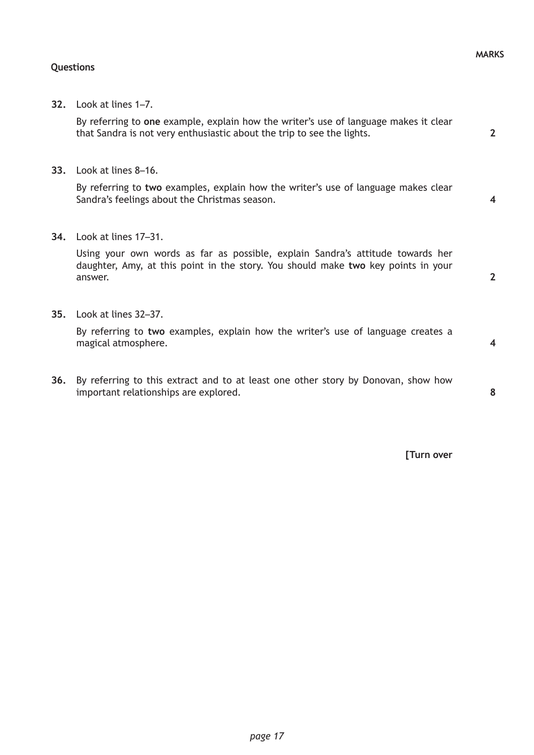#### **MARKS**

**8**

## **Questions**

| 32. | Look at lines $1-7$ .<br>By referring to one example, explain how the writer's use of language makes it clear<br>that Sandra is not very enthusiastic about the trip to see the lights.                | $\overline{2}$ |
|-----|--------------------------------------------------------------------------------------------------------------------------------------------------------------------------------------------------------|----------------|
| 33. | Look at lines 8-16.<br>By referring to two examples, explain how the writer's use of language makes clear<br>Sandra's feelings about the Christmas season.                                             | 4              |
| 34. | Look at lines 17-31.<br>Using your own words as far as possible, explain Sandra's attitude towards her<br>daughter, Amy, at this point in the story. You should make two key points in your<br>answer. | $\mathbf{2}$   |
| 35. | Look at lines 32-37.<br>By referring to two examples, explain how the writer's use of language creates a<br>magical atmosphere.                                                                        | 4              |

**36.** By referring to this extract and to at least one other story by Donovan, show how important relationships are explored.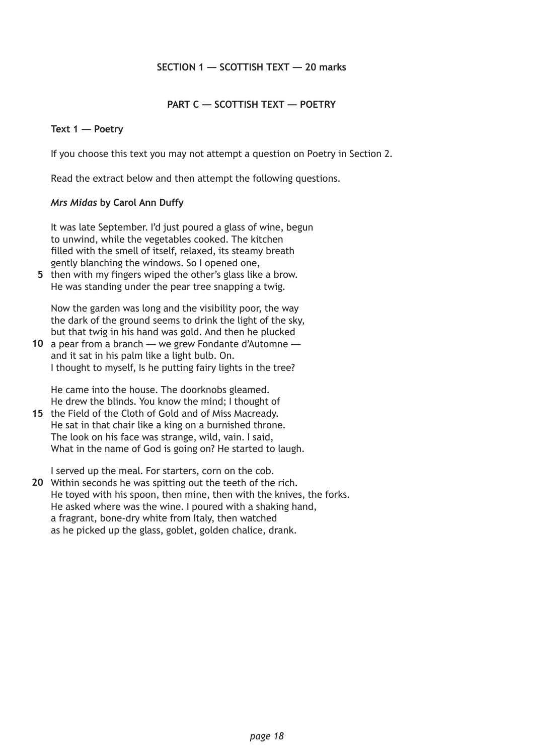## **SECTION 1 — SCOTTISH TEXT — 20 marks**

## **PART C — SCOTTISH TEXT — POETRY**

#### **Text 1 — Poetry**

If you choose this text you may not attempt a question on Poetry in Section 2.

Read the extract below and then attempt the following questions.

## *Mrs Midas* **by Carol Ann Duffy**

It was late September. I'd just poured a glass of wine, begun to unwind, while the vegetables cooked. The kitchen filled with the smell of itself, relaxed, its steamy breath gently blanching the windows. So I opened one,

**5** then with my fingers wiped the other's glass like a brow. He was standing under the pear tree snapping a twig.

Now the garden was long and the visibility poor, the way the dark of the ground seems to drink the light of the sky, but that twig in his hand was gold. And then he plucked

10 a pear from a branch — we grew Fondante d'Automne and it sat in his palm like a light bulb. On. I thought to myself, Is he putting fairy lights in the tree?

He came into the house. The doorknobs gleamed. He drew the blinds. You know the mind; I thought of

15 the Field of the Cloth of Gold and of Miss Macready. He sat in that chair like a king on a burnished throne. The look on his face was strange, wild, vain. I said, What in the name of God is going on? He started to laugh.

I served up the meal. For starters, corn on the cob. Within seconds he was spitting out the teeth of the rich. **20**He toyed with his spoon, then mine, then with the knives, the forks. He asked where was the wine. I poured with a shaking hand, a fragrant, bone-dry white from Italy, then watched as he picked up the glass, goblet, golden chalice, drank.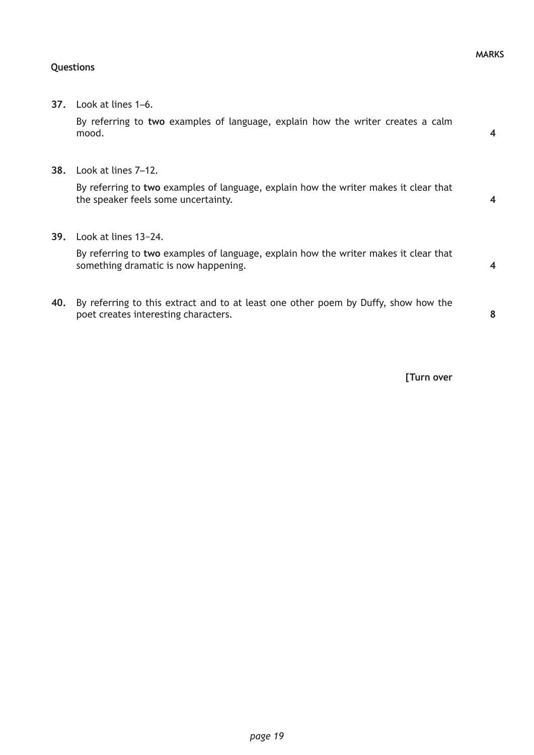## **Questions**

| 37. | Look at lines 1–6.                                                                                                           |   |
|-----|------------------------------------------------------------------------------------------------------------------------------|---|
|     | By referring to two examples of language, explain how the writer creates a calm<br>mood.                                     | 4 |
| 38. | Look at lines 7–12.                                                                                                          |   |
|     | By referring to two examples of language, explain how the writer makes it clear that<br>the speaker feels some uncertainty.  | 4 |
| 39. | Look at lines 13-24.                                                                                                         |   |
|     | By referring to two examples of language, explain how the writer makes it clear that<br>something dramatic is now happening. | 4 |
| 40. | By referring to this extract and to at least one other poem by Duffy, show how the<br>poet creates interesting characters.   | 8 |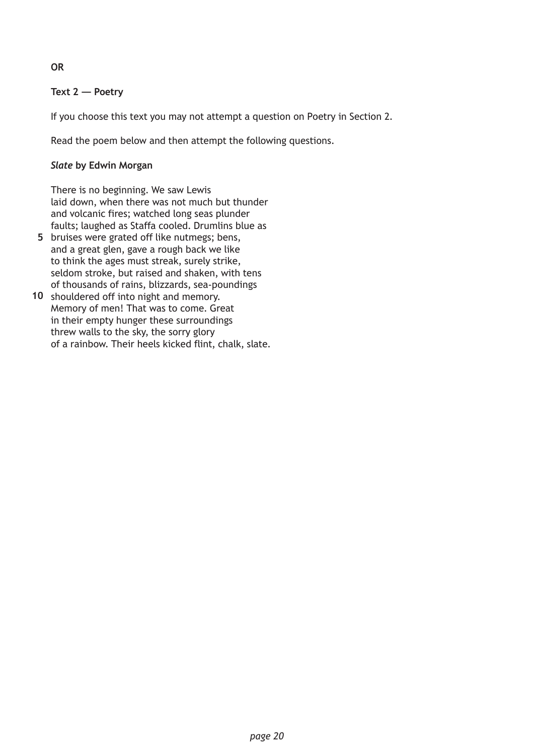## **OR**

## **Text 2 — Poetry**

If you choose this text you may not attempt a question on Poetry in Section 2.

Read the poem below and then attempt the following questions.

## *Slate* **by Edwin Morgan**

There is no beginning. We saw Lewis laid down, when there was not much but thunder and volcanic fires; watched long seas plunder faults; laughed as Staffa cooled. Drumlins blue as

- 5 bruises were grated off like nutmegs; bens, and a great glen, gave a rough back we like to think the ages must streak, surely strike, seldom stroke, but raised and shaken, with tens of thousands of rains, blizzards, sea-poundings
- 10 shouldered off into night and memory. Memory of men! That was to come. Great in their empty hunger these surroundings threw walls to the sky, the sorry glory of a rainbow. Their heels kicked flint, chalk, slate.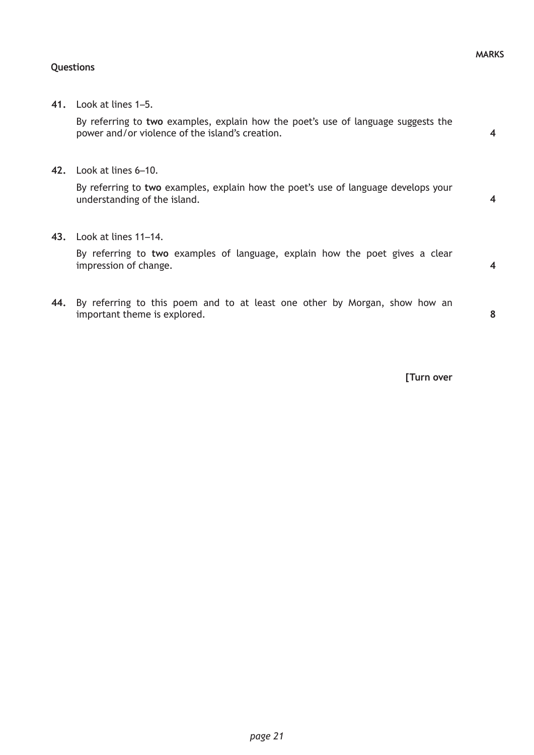#### **MARKS**

## **Questions**

| 41. | Look at lines 1–5.                                                                                                                   |   |
|-----|--------------------------------------------------------------------------------------------------------------------------------------|---|
|     | By referring to two examples, explain how the poet's use of language suggests the<br>power and/or violence of the island's creation. | 4 |
|     | <b>42.</b> Look at lines 6–10.                                                                                                       |   |
|     | By referring to two examples, explain how the poet's use of language develops your<br>understanding of the island.                   | 4 |
|     | 43. Look at lines 11–14.                                                                                                             |   |
|     | By referring to two examples of language, explain how the poet gives a clear<br>impression of change.                                | 4 |
| 44. | By referring to this poem and to at least one other by Morgan, show how an<br>important theme is explored.                           | 8 |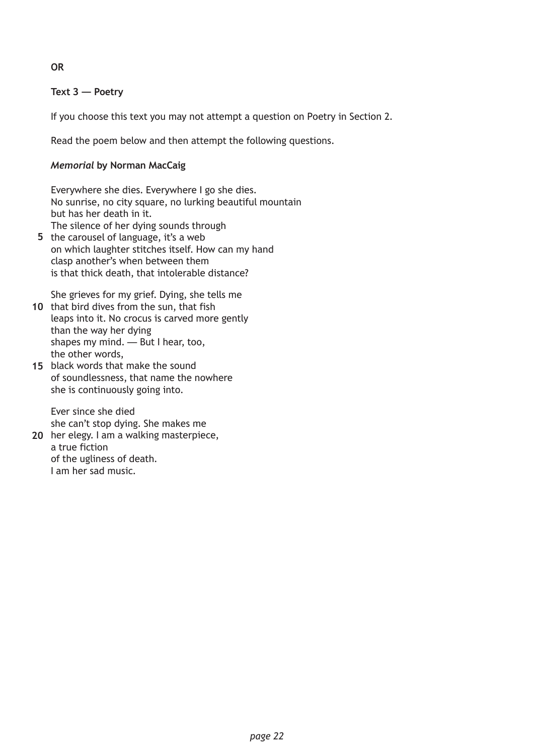**OR**

## **Text 3 — Poetry**

If you choose this text you may not attempt a question on Poetry in Section 2.

Read the poem below and then attempt the following questions.

## *Memorial* **by Norman MacCaig**

Everywhere she dies. Everywhere I go she dies. No sunrise, no city square, no lurking beautiful mountain but has her death in it. The silence of her dying sounds through

5 the carousel of language, it's a web on which laughter stitches itself. How can my hand clasp another's when between them is that thick death, that intolerable distance?

She grieves for my grief. Dying, she tells me

- 10 that bird dives from the sun, that fish leaps into it. No crocus is carved more gently than the way her dying shapes my mind. — But I hear, too, the other words,
- 15 black words that make the sound of soundlessness, that name the nowhere she is continuously going into.

Ever since she died she can't stop dying. She makes me

her elegy. I am a walking masterpiece, **20**a true fiction of the ugliness of death. I am her sad music.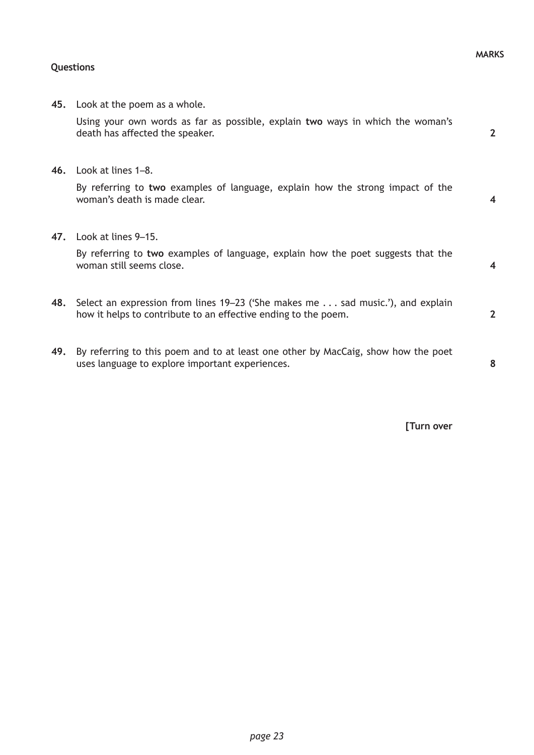#### **MARKS**

## **Questions**

|     | 45. Look at the poem as a whole.                                                                                                                   |                         |
|-----|----------------------------------------------------------------------------------------------------------------------------------------------------|-------------------------|
|     | Using your own words as far as possible, explain two ways in which the woman's<br>death has affected the speaker.                                  | $\mathbf{2}$            |
|     | 46. Look at lines $1-8$ .                                                                                                                          |                         |
|     | By referring to two examples of language, explain how the strong impact of the<br>woman's death is made clear.                                     | $\overline{\mathbf{4}}$ |
| 47. | Look at lines 9–15.                                                                                                                                |                         |
|     | By referring to two examples of language, explain how the poet suggests that the<br>woman still seems close.                                       | 4                       |
| 48. | Select an expression from lines $19-23$ ('She makes me sad music.'), and explain<br>how it helps to contribute to an effective ending to the poem. | $\mathbf{2}$            |
| 49. | By referring to this poem and to at least one other by MacCaig, show how the poet<br>uses language to explore important experiences.               | 8                       |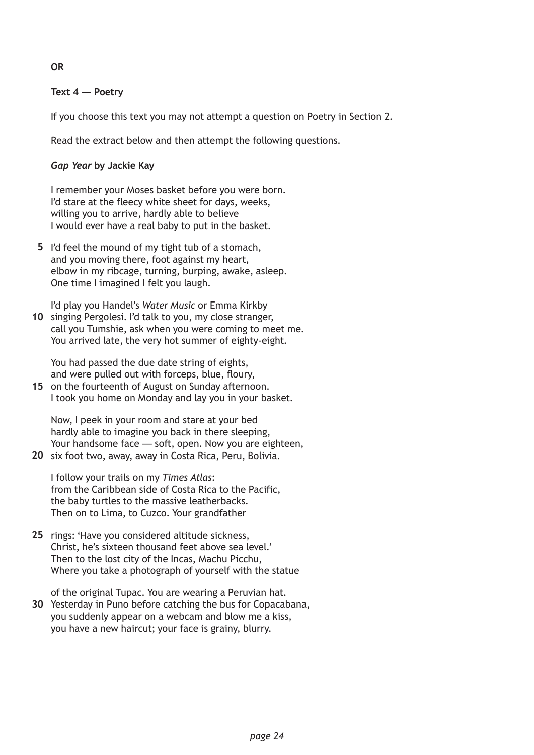## **OR**

## **Text 4 — Poetry**

If you choose this text you may not attempt a question on Poetry in Section 2.

Read the extract below and then attempt the following questions.

## *Gap Year* **by Jackie Kay**

I remember your Moses basket before you were born. I'd stare at the fleecy white sheet for days, weeks, willing you to arrive, hardly able to believe I would ever have a real baby to put in the basket.

5 I'd feel the mound of my tight tub of a stomach, and you moving there, foot against my heart, elbow in my ribcage, turning, burping, awake, asleep. One time I imagined I felt you laugh.

I'd play you Handel's *Water Music* or Emma Kirkby

10 singing Pergolesi. I'd talk to you, my close stranger, call you Tumshie, ask when you were coming to meet me. You arrived late, the very hot summer of eighty-eight.

You had passed the due date string of eights, and were pulled out with forceps, blue, floury,

15 on the fourteenth of August on Sunday afternoon. I took you home on Monday and lay you in your basket.

Now, I peek in your room and stare at your bed hardly able to imagine you back in there sleeping, Your handsome face — soft, open. Now you are eighteen, 20 six foot two, away, away in Costa Rica, Peru, Bolivia.

I follow your trails on my *Times Atlas*: from the Caribbean side of Costa Rica to the Pacific, the baby turtles to the massive leatherbacks. Then on to Lima, to Cuzco. Your grandfather

- 25 rings: 'Have you considered altitude sickness, Christ, he's sixteen thousand feet above sea level.' Then to the lost city of the Incas, Machu Picchu, Where you take a photograph of yourself with the statue
- of the original Tupac. You are wearing a Peruvian hat. 30 Yesterday in Puno before catching the bus for Copacabana, you suddenly appear on a webcam and blow me a kiss, you have a new haircut; your face is grainy, blurry.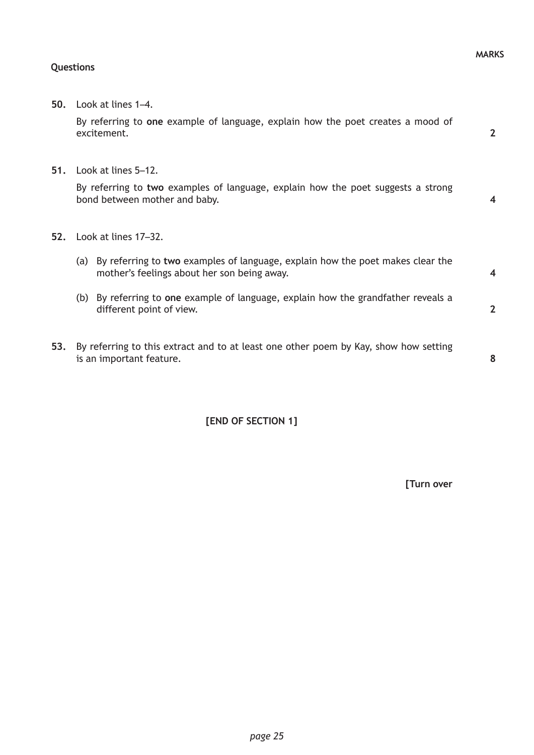## **Questions**

| 50. | Look at lines 1–4.                                                                                                                |                |
|-----|-----------------------------------------------------------------------------------------------------------------------------------|----------------|
|     | By referring to one example of language, explain how the poet creates a mood of<br>excitement.                                    | $\overline{2}$ |
| 51. | Look at lines 5–12.                                                                                                               |                |
|     | By referring to two examples of language, explain how the poet suggests a strong<br>bond between mother and baby.                 | 4              |
| 52. | Look at lines 17-32.                                                                                                              |                |
|     | (a) By referring to two examples of language, explain how the poet makes clear the<br>mother's feelings about her son being away. | 4              |
|     | (b) By referring to one example of language, explain how the grandfather reveals a<br>different point of view.                    | $\overline{2}$ |
| 53. | By referring to this extract and to at least one other poem by Kay, show how setting<br>is an important feature.                  | 8              |

# **[END OF SECTION 1]**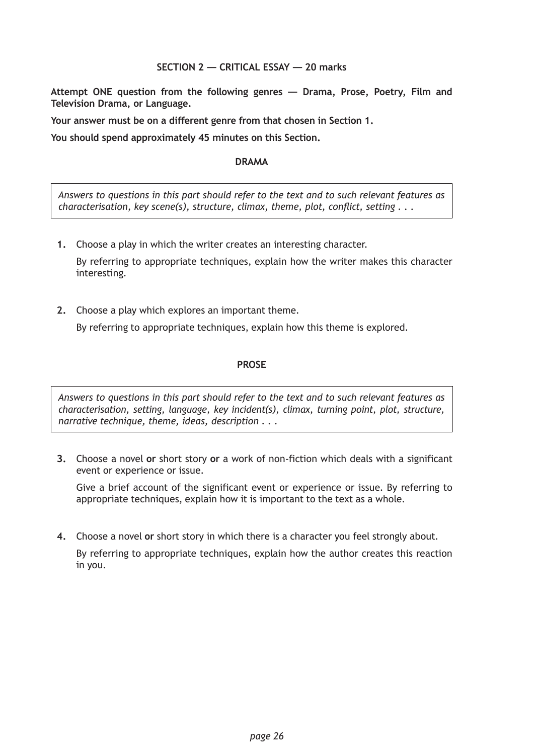#### **SECTION 2 — CRITICAL ESSAY — 20 marks**

**Attempt ONE question from the following genres — Drama, Prose, Poetry, Film and Television Drama, or Language.**

**Your answer must be on a different genre from that chosen in Section 1.**

**You should spend approximately 45 minutes on this Section.**

#### **DRAMA**

*Answers to questions in this part should refer to the text and to such relevant features as characterisation, key scene(s), structure, climax, theme, plot, conflict, setting . . .*

**1.** Choose a play in which the writer creates an interesting character.

By referring to appropriate techniques, explain how the writer makes this character interesting.

**2.** Choose a play which explores an important theme. By referring to appropriate techniques, explain how this theme is explored.

#### **PROSE**

*Answers to questions in this part should refer to the text and to such relevant features as characterisation, setting, language, key incident(s), climax, turning point, plot, structure, narrative technique, theme, ideas, description . . .*

**3.** Choose a novel **or** short story **or** a work of non-fiction which deals with a significant event or experience or issue.

Give a brief account of the significant event or experience or issue. By referring to appropriate techniques, explain how it is important to the text as a whole.

**4.** Choose a novel **or** short story in which there is a character you feel strongly about. By referring to appropriate techniques, explain how the author creates this reaction in you.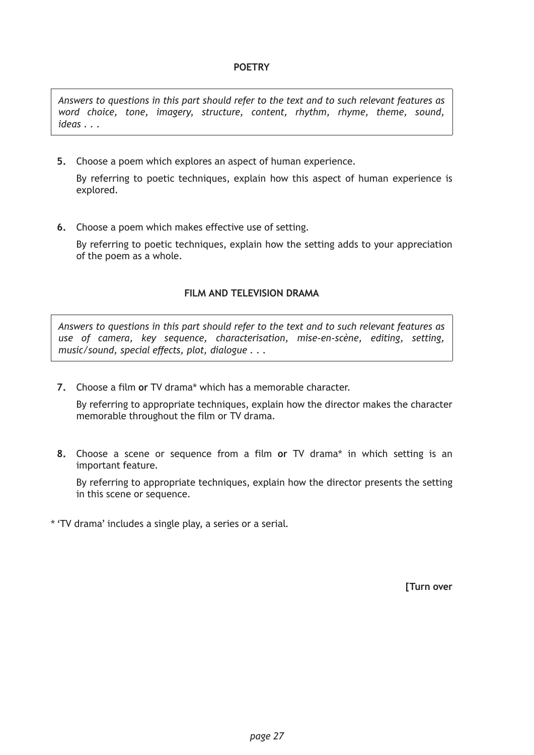*Answers to questions in this part should refer to the text and to such relevant features as word choice, tone, imagery, structure, content, rhythm, rhyme, theme, sound, ideas . . .*

**5.** Choose a poem which explores an aspect of human experience.

By referring to poetic techniques, explain how this aspect of human experience is explored.

**6.** Choose a poem which makes effective use of setting.

By referring to poetic techniques, explain how the setting adds to your appreciation of the poem as a whole.

#### **FILM AND TELEVISION DRAMA**

*Answers to questions in this part should refer to the text and to such relevant features as use of camera, key sequence, characterisation, mise-en-scène, editing, setting, music/sound, special effects, plot, dialogue . . .*

**7.** Choose a film **or** TV drama\* which has a memorable character.

By referring to appropriate techniques, explain how the director makes the character memorable throughout the film or TV drama.

**8.** Choose a scene or sequence from a film **or** TV drama\* in which setting is an important feature.

By referring to appropriate techniques, explain how the director presents the setting in this scene or sequence.

\* 'TV drama' includes a single play, a series or a serial.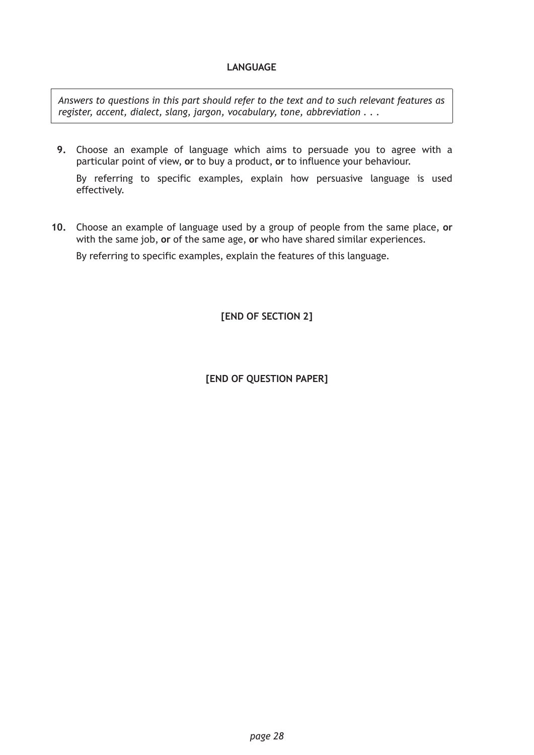## **LANGUAGE**

*Answers to questions in this part should refer to the text and to such relevant features as register, accent, dialect, slang, jargon, vocabulary, tone, abbreviation . . .*

**9.** Choose an example of language which aims to persuade you to agree with a particular point of view, **or** to buy a product, **or** to influence your behaviour.

By referring to specific examples, explain how persuasive language is used effectively.

**10.** Choose an example of language used by a group of people from the same place, **or** with the same job, **or** of the same age, **or** who have shared similar experiences. By referring to specific examples, explain the features of this language.

**[END OF SECTION 2]**

## **[END OF QUESTION PAPER]**